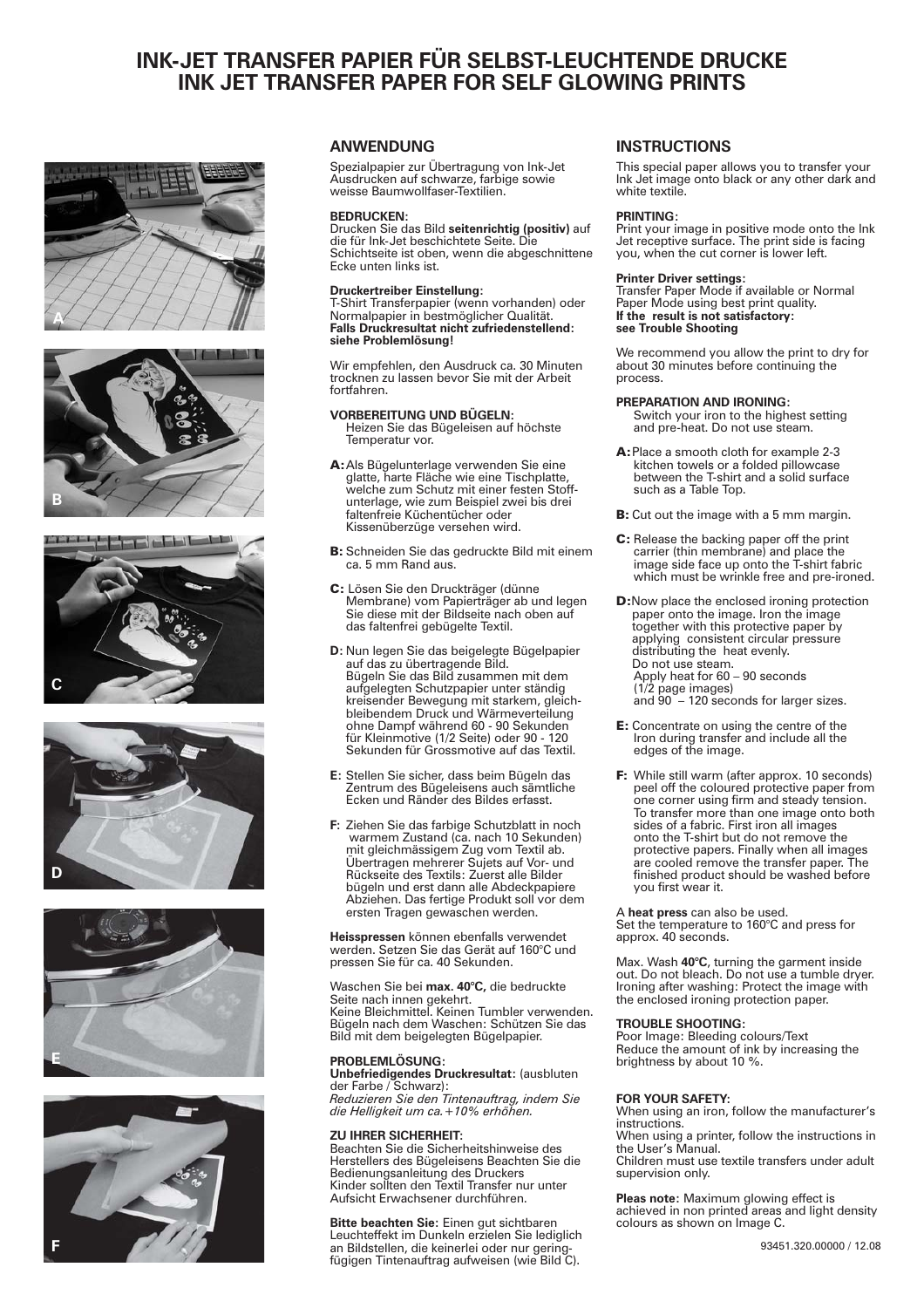# **INK-JET TRANSFER PAPIER FÜR SELBST-LEUCHTENDE DRUCKE INK JET TRANSFER PAPER FOR SELF GLOWING PRINTS**













# **ANWENDUNG INSTRUCTIONS**

Spezialpapier zur Übertragung von Ink-Jet Ausdrucken auf schwarze, farbige sowie weisse Baumwollfaser-Textilien.

#### **BEDRUCKEN:**

Drucken Sie das Bild seitenrichtig (positiv) auf die für Ink-Jet beschichtete Seite. Die Schichtseite ist oben, wenn die abgeschnittene Ecke unten links ist.

#### **Druckertreiber Einstellung:**

T-Shirt Transferpapier (wenn vorhanden) oder Normalpapier in bestmöglicher Qualität. **Falls Druckresultat nicht zufriedenstellend: siehe Problemlösung!**

Wir empfehlen, den Ausdruck ca. 30 Minuten trocknen zu lassen bevor Sie mit der Arbeit fortfahren.

#### **VORBEREITUNG UND BÜGELN:**

Heizen Sie das Bügeleisen auf höchste Temperatur vor.

- A: Als Bügelunterlage verwenden Sie eine glatte, harte Fläche wie eine Tischplatte, welche zum Schutz mit einer festen Stoffunterlage, wie zum Beispiel zwei bis drei faltenfreie Küchentücher oder Kissenüberzüge versehen wird.
- B: Schneiden Sie das gedruckte Bild mit einem ca. 5 mm Rand aus.
- Lösen Sie den Druckträger (dünne Membrane) vom Papierträger ab und legen Sie diese mit der Bildseite nach oben auf das faltenfrei gebügelte Textil. C:
- **D**: Nun legen Sie das beigelegte Bügelpapier auf das zu übertragende Bild. Bügeln Sie das Bild zusammen mit dem aufgelegten Schutzpapier unter ständig kreisender Bewegung mit starkem, gleich-bleibendem Druck und Wärmeverteilung ohne Dampf während 60 - 90 Sekunden für Kleinmotive (1/2 Seite) oder 90 - 120 Sekunden für Grossmotive auf das Textil.
- **E**: Stellen Sie sicher, dass beim Bügeln das Zentrum des Bügeleisens auch sämtliche Ecken und Ränder des Bildes erfasst.
- Ziehen Sie das farbige Schutzblatt in noch warmem Zustand (ca. nach 10 Sekunden) mit gleichmässigem Zug vom Textil ab. Übertragen mehrerer Sujets auf Vor- und Rückseite des Textils: Zuerst alle Bilder bügeln und erst dann alle Abdeckpapiere Abziehen. Das fertige Produkt soll vor dem ersten Tragen gewaschen werden. **F:**

Heisspressen können ebenfalls verwendet werden. Setzen Sie das Gerät auf 160°C und pressen Sie für ca. 40 Sekunden.

Waschen Sie bei **max. 40°C,** die bedruckte Seite nach innen gekehrt. Keine Bleichmittel. Keinen Tumbler verwenden. Bügeln nach dem Waschen: Schützen Sie das Bild mit dem beigelegten Bügelpapier.

# **PROBLEMLÖSUNG:**

**Unbefriedigendes Druckresultat:** (ausbluten<br>der Farbe / Schwarz): **Unbefriedigendes Druckresultat:**

*Reduzieren Sie den Tintenauftrag, indem Sie die Helligkeit um ca.+10% erhöhen.*

### **ZU IHRER SICHERHEIT:**

Beachten Sie die Sicherheitshinweise des Herstellers des Bügeleisens Beachten Sie die Bedienungsanleitung des Druckers Kinder sollten den Textil Transfer nur unter Aufsicht Erwachsener durchführen.

**Bitte beachten Sie:** Einen gut sichtbaren<br>Leuchteffekt im Dunkeln erzielen Sie lediglich an Bildstellen, die keinerlei oder nur geringfügigen Tintenauftrag aufweisen (wie Bild C). **Bitte beachten Sie:**

This special paper allows you to transfer your Ink Jet image onto black or any other dark and white textile.

#### **PRINTING:**

Print your image in positive mode onto the Ink Jet receptive surface. The print side is facing you, when the cut corner is lower left.

#### **Printer Driver settings:**

Transfer Paper Mode if available or Normal Paper Mode using best print quality. **If the result is not satisfactory: see Trouble Shooting**

We recommend you allow the print to dry for about 30 minutes before continuing the process.

#### **PREPARATION AND IRONING:**

Switch your iron to the highest setting and pre-heat. Do not use steam.

- A: Place a smooth cloth for example 2-3 kitchen towels or a folded pillowcase between the T-shirt and a solid surface such as a Table Top.
- B: Cut out the image with a 5 mm margin.
- carrier (thin membrane) and place the image side face up onto the T-shirt fabric which must be wrinkle free and pre-ironed. C: Release the backing paper off the print
- **D:** Now place the enclosed ironing protection paper onto the image. Iron the image together with this protective paper by applying consistent circular pressure distributing the heat evenly. Do not use steam. Apply heat for 60 – 90 seconds (1/2 page images) and 90 – 120 seconds for larger sizes.
- E: Concentrate on using the centre of the Iron during transfer and include all the edges of the image.
- peel off the coloured protective paper from one corner using firm and steady tension. To transfer more than one image onto both<br>sides of a fabric. First iron all images onto the T-shirt but do not remove the protective papers. Finally when all images are cooled remove the transfer paper. The finished product should be washed before you first wear it. F: While still warm (after approx. 10 seconds)

A **heat press** can also be used. Set the temperature to 160°C and press for approx. 40 seconds.

Max. Wash **40°C**, turning the garment inside out. Do not bleach. Do not use a tumble dryer. Ironing after washing: Protect the image with . the enclosed ironing protection paper

#### **TROUBLE SHOOTING:**

Poor Image: Bleeding colours/Text Reduce the amount of ink by increasing the brightness by about 10 %.

#### **FOR YOUR SAFETY:**

When using an iron, follow the manufacturer's instructions.

When using a printer, follow the instructions in the User's Manual.

Children must use textile transfers under adult supervision only.

**Pleas note:** Maximum glowing effect is achieved in non printed areas and light density colours as shown on Image C.